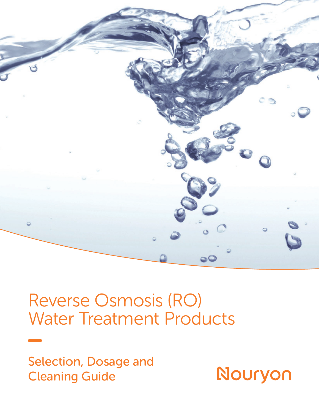

# Reverse Osmosis (RO) Water Treatment Products

Selection, Dosage and Cleaning Guide

Nouryon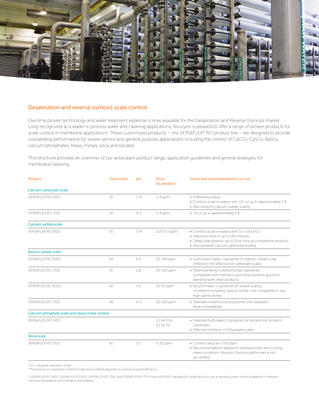

#### Desalination and reverse osmosis scale control

Our time proven technology and water treatment expertise is now available for the Desalination and Reverse Osmosis market. Long recognized as a leader in process water and cleaning applications, Nouryon is pleased to offer a range of proven products for scale control in membrane applications. These customized products — the VERSAFLEX® RO product line – are designed to provide outstanding performance for severe service and general purpose applications including the control of CaCO3, CaSO4, BaSO4, calcium phosphates, heavy metals, silica and silicates.

This brochure provides an overview of our antiscalant product range, application guidelines and general strategies for membrane cleaning.

| Product                                         | <b>Total solids</b> | рH      | <b>Dose</b><br>(as product) | Notes and recommendations on use                                                                                                                                                                           |
|-------------------------------------------------|---------------------|---------|-----------------------------|------------------------------------------------------------------------------------------------------------------------------------------------------------------------------------------------------------|
| Calcium carbonate scale                         |                     |         |                             |                                                                                                                                                                                                            |
| VERSAFLEX RO 9110                               | 35                  | $3 - 4$ | $2-4$ ppm                   | • Preferred product<br>• Controls scale in waters with LSI <sup>1</sup> of up to approximately 2.8<br>• Also prevents calcium sulfate scaling                                                              |
| VERSAFLEX RO 7110                               | 40                  | $4 - 5$ | $2-4$ ppm                   | • LSI of up to approximately 2.8                                                                                                                                                                           |
| Calcium sulfate scale                           |                     |         |                             |                                                                                                                                                                                                            |
| VERSAFLEX RO 9110                               | 35                  | $3 - 4$ | $0.25 - 0.5$ ppm            | • Controls scale in waters with $SI = 5.9$ to 6.1<br>• Induction time of up to 150 minutes<br>• Delays precipitation up to 2X as long as competitive products<br>• Also prevents calcium carbonate scaling |
| Barium sulfate scale <sup>2</sup>               |                     |         |                             |                                                                                                                                                                                                            |
| VERSAFLEX RO 6310                               | 44                  | 6.0     | 50-100 ppm                  | · Sulfonated maleic copolymer for barium sulfate scale<br>inhibition: not effective for carbonate scales                                                                                                   |
| VERSAFLEX RO 7310                               | 35                  | 2.8     | 50-100 ppm                  | · Patent pending multifunctional copolymer;<br>compatible with methanol and other solvents-good for<br>blending with other products                                                                        |
| VERSAFLEX RO 6320                               | 42                  | 5.0     | 25-50 ppm                   | • Acrylic/maleic copolymer for severe scaling<br>conditions including barium sulfate; not compatible in very<br>high salinity brines                                                                       |
| VERSAFLEX RO 7110                               | 40                  | $4 - 5$ | 50-100 ppm                  | • Patented multifunctional polymer with excellent<br>brine compatibility                                                                                                                                   |
| Calcium phosphate scale and heavy metal control |                     |         |                             |                                                                                                                                                                                                            |
| VERSAFLEX RO 5410                               |                     |         | 1:1 for $PO4$<br>2:1 for Fe | • Patented Sulfonated Copolymer for Silt and Iron Inhibitor<br>Dispersant<br>• Effective inhibition of PO <sub>4</sub> based scales                                                                        |
| Silica scale                                    |                     |         |                             |                                                                                                                                                                                                            |
| VERSAFLEX RO 7510                               | 42                  | 5.5     | 5-20 ppm                    | • Controls silica at > 300 ppm<br>• Recommendations based on standard boiler and cooling<br>water conditions. Reverse Osmosis performance not<br>yet verified.                                             |

1 LSI = Langelier Saturation Index 2 These products have been tested for high brine (oilfield) applications, and show good efficiency.

\* VERSAFLEX RO 5410, VERSAFLEX RO 9110, VERSAFLEX RO 7110, and VERSAFLEX RO 7510 have ANSI/NSF Standard 60 certification for use as drinking water chemical additives in Reverse Osmosis Antiscalants and Distillation Antiscalants.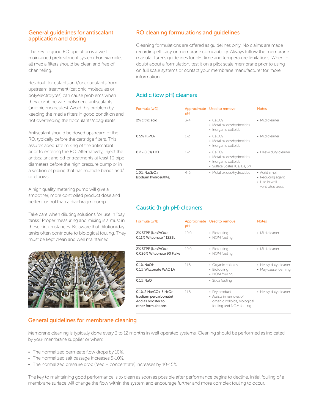## General guidelines for antiscalant application and dosing

The key to good RO operation is a well maintained pretreatment system. For example, all media filters should be clean and free of channeling.

Residual flocculants and/or coagulants from upstream treatment (cationic molecules or polyelectrolytes) can cause problems when they combine with polymeric antiscalants (anionic molecules). Avoid this problem by keeping the media filters in good condition and not overfeeding the flocculants/coagulants.

Antiscalant should be dosed upstream of the RO, typically before the cartridge filters. This assures adequate mixing of the antiscalant prior to entering the RO. Alternatively, inject the antiscalant and other treatments at least 10 pipe diameters before the high pressure pump or in a section of piping that has multiple bends and/ or elbows.

A high quality metering pump will give a smoother, more controlled product dose and better control than a diaphragm pump.

Take care when diluting solutions for use in "day tanks." Proper measuring and mixing is a must in these circumstances. Be aware that dilution/day tanks often contribute to biological fouling. They must be kept clean and well maintained.



## RO cleaning formulations and guidelines

Cleaning formulations are offered as guidelines only. No claims are made regarding efficacy or membrane compatibility. Always follow the membrane manufacturer's guidelines for pH, time and temperature limitations. When in doubt about a formulation, test it on a pilot scale membrane prior to using on full scale systems or contact your membrane manufacturer for more information.

# Acidic (low pH) cleaners

| Formula (w%)                                      | рH      | Approximate Used to remove                                                                                        | <b>Notes</b>                                                           |  |
|---------------------------------------------------|---------|-------------------------------------------------------------------------------------------------------------------|------------------------------------------------------------------------|--|
| 2% citric acid                                    | $-3-4$  | $\bullet$ CaCO <sub>3</sub><br>• Metal oxides/hydroxides<br>· Inorganic colloids                                  | • Mild cleaner                                                         |  |
| 0.5% H <sub>3</sub> PO <sub>4</sub>               | $1 - 2$ | $\bullet$ CaCO <sub>3</sub><br>• Metal oxides/hydroxides<br>· Inorganic colloids                                  | • Mild cleaner                                                         |  |
| $0.2 - 0.5%$ HCI                                  | $1 - 2$ | $\bullet$ CaCO <sub>3</sub><br>• Metal oxides/hydroxides<br>• Inorganic colloids<br>• Sulfate Scales (Ca, Ba, Sr) | • Heavy duty cleaner                                                   |  |
| 1.0% Na2S2O <sub>4</sub><br>(sodium hydrosulfite) | $4-6$   | • Metal oxides/hydroxides                                                                                         | • Acrid smell<br>• Reducing agent<br>• Use in well<br>ventilated areas |  |

# Caustic (high pH) cleaners

| Formula (w%)                                                                                                                                  | рH   | Approximate Used to remove                                                                          | <b>Notes</b>                                |
|-----------------------------------------------------------------------------------------------------------------------------------------------|------|-----------------------------------------------------------------------------------------------------|---------------------------------------------|
| $2\%$ STPP (NasP <sub>3</sub> O <sub>10</sub> )<br>$0.11\%$ Witconate <sup><math>M</math></sup> 1223L                                         | 10.0 | • Biofouling<br>• NOM fouling                                                                       | • Mild cleaner                              |
| $2\%$ STPP (NasP <sub>3</sub> O <sub>10</sub> )<br>0.026% Witconate 90 Flake                                                                  | 10.0 | • Biofouling<br>• NOM fouling                                                                       | • Mild cleaner                              |
| 0.1% NaOH<br>0.1% Witconate WAC LA                                                                                                            | 11.5 | • Organic colloids<br>• Biofouling<br>• NOM fouling                                                 | • Heavy duty cleaner<br>• May cause foaming |
| 0.1% NaO                                                                                                                                      |      | • Silica fouling                                                                                    |                                             |
| $0.1\%$ 2 Na <sub>2</sub> CO <sub>3</sub> 3 H <sub>2</sub> O <sub>2</sub><br>(sodium percarbonate)<br>Add as booster to<br>other formulations | 11.5 | • Dry product<br>• Assists in removal of<br>organic colloids, biological<br>fouling and NOM fouling | • Heavy duty cleaner                        |

# General guidelines for membrane cleaning

Membrane cleaning is typically done every 3 to 12 months in well operated systems. Cleaning should be performed as indicated by your membrane supplier or when:

- The normalized permeate flow drops by 10%.
- The normalized salt passage increases 5-10%.
- The normalized pressure drop (feed concentrate) increases by 10-15%.

The key to maintaining good performance is to clean as soon as possible after performance begins to decline. Initial fouling of a membrane surface will change the flow within the system and encourage further and more complex fouling to occur.